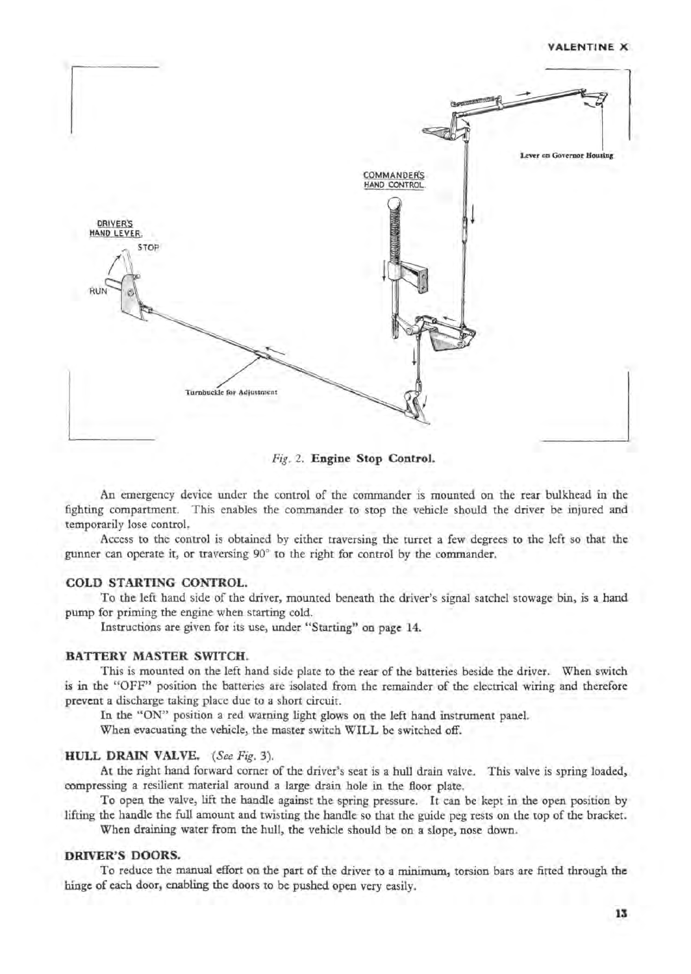#### VALENTINE X



*Fig.* 2. Engine Stop Control.

An emergency device under the control of the commander is mounted on the rear bulkhead in the fighting compartment. This enables the commander to stop the vehicle should the driver be injured and temporarily lose control.

Access to the control is obtained by either traversing the turret a few degrees to the left so that the gunner can operate it, or traversing 90° to the right for control by the commander.

# COLD STARTING CONTROL.

To the left hand side of the driver, mounted beneath the driver's signal satchel stowage bin, is a hand pump for priming the engine when starting cold.

Instructions are given for its use, under "Starting" on page 14.

# BATTERY MASTER SWITCH.

This is mounted on the left hand side plate to the rear of the batteries beside the driver. When switch is in the "OFF" position the batteries are isolated from the remainder of the electrical wiring and therefore prevent a discharge taking place due to a short circuit.

In the "ON" position a red warning light glows on the left hand instrument panel.

When evacuating the vehicle, the master switch WILL be switched off.

## HULL DRAIN VALVE. *(See Fig. 3).*

At the right hand forward corner of the driver's seat is a hull drain valve. This valve is spring loaded, compressing a resilient material around a large drain hole in the floor plate.

To open the valve, lift the handle against the spring pressure. It can be kept in the open position by lifting the handle the full amount and twisting the handle so that the guide peg rests on the top of the bracket.

When draining water from the hull, the vehicle should be on a slope, nose down.

#### DRIVER'S DOORS.

To reduce the manual effort on the part of the driver to a minimum, torsion bars are fitted through the hinge of each door, enabling the doors to be pushed open very easily.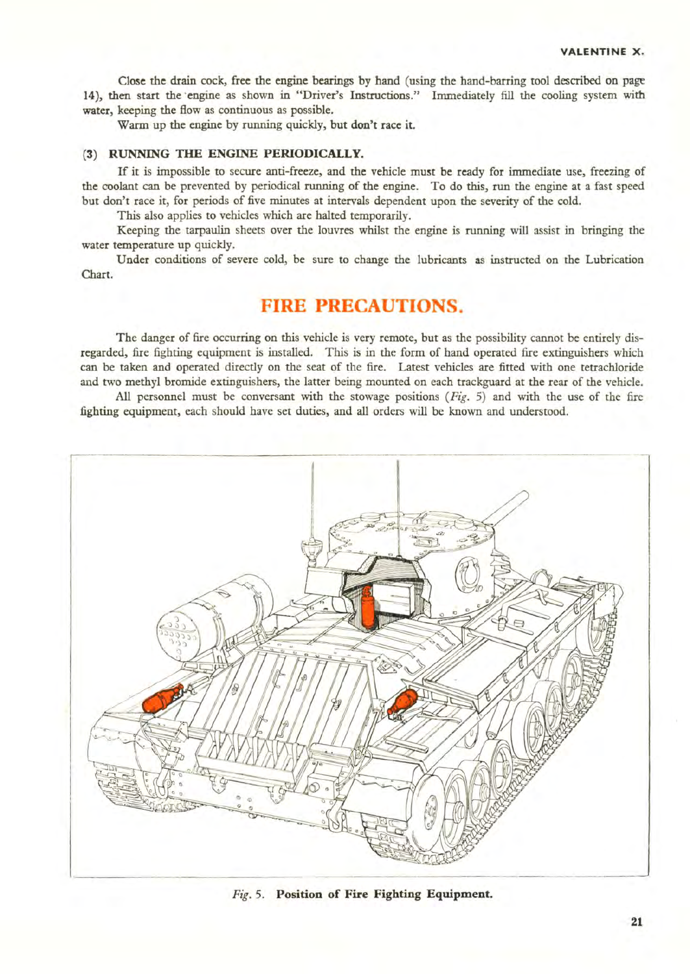Close the drain cock, free the engine bearings by hand (using the hand-barring tool described on page 14), then start the engine as shown in "Driver's Instructions." Immediately fill the cooling system with water, keeping the flow as continuous as possible.

Warm up the engine by running quickly, but don't race it.

# (3) RUNNING THE ENGINE PERIODICALLY.

If it is impossible to secure anti-freeze, and the vehicle must be ready for immediate use, freezing of the coolant can be prevented by periodical running of the engine. To do this, run the engine at a fast speed but don't race it, for periods of five minutes at intervals dependent upon the severity of the cold.

This also applies to vehicles which are halted temporarily.

Keeping the tarpaulin sheets over the louvres whilst the engine is running will assist in bringing the water temperature up quickly.

Under conditions of severe cold, be sure to change the lubricants as instructed on the Lubrication Chart.

# **FIRE PRECAUTIONS.**

The danger of fire occurring on this vehicle is very remote, but as the possibility cannot be entirely disregarded, fire fighting equipment is installed. This is in the form of hand operated fire extinguishers which can be taken and operated directly on the seat of the fire. Latest vehicles are fitted with one tetrachloride and two methyl bromide extinguishers, the latter being mounted on each trackguard at the rear of the vehicle.

All personnel must be conversant with the stowage positions  $(Fig, 5)$  and with the use of the fire fighting equipment, each should have set duties, and all orders will be known and understood.



Fig. 5. Position of Fire Fighting Equipment.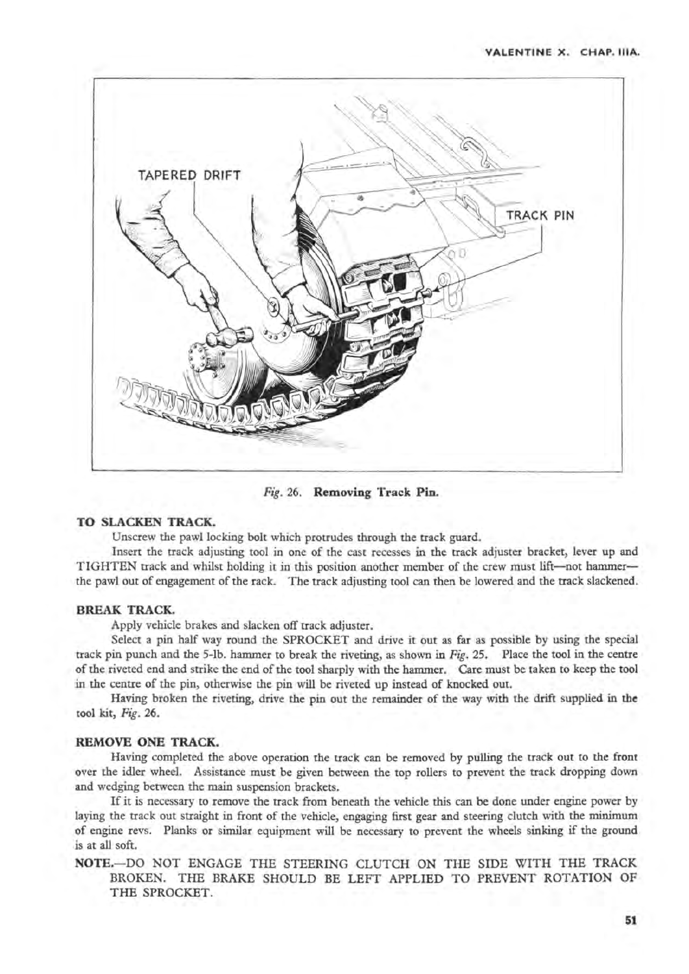

Fig. 26. Removing Track Pin.

# TO SLACKEN TRACK.

Unscrew the pawl locking bolt which protrudes through the track guard.

Insert the track adjusting tool in one of the cast recesses in the track adjuster bracket, lever up and TIGHTEN track and whilst holding it in this position another member of the crew must lift-not hammerthe pawl out of engagement of the rack. The track adjusting tool can then be lowered and the track slackened.

# BREAK TRACK.

Apply vehicle brakes and slacken off track adjuster.

Select a pin half way round the SPROCKET and drive it out as far as possible by using the special track pin punch and the 5-1b. hammer to break the riveting, as shown in Fig. 25. Place the tool in the centre of the riveted end and strike the end of the tool sharply with the hammer. Care must be taken to keep the tool in the centre of the pin, otherwise the pin will be riveted up instead of knocked out.

Having broken the riveting, drive the pin out the remainder of the way with the drift supplied in the tool kit, Fig. 26.

#### REMOVE ONE TRACK.

Having completed the above operation the track can be removed by pulling the track out to the front over the idler wheel. Assistance must be given between the top rollers to prevent the track dropping down and wedging between the main suspension brackets.

If it is necessary to remove the track from beneath the vehicle this can be done under engine power by laying the track out straight in front of the vehicle, engaging first gear and steering clutch with the minimum of engine revs. Planks or similar equipment will be necessary to prevent the wheels sinking if the ground is at all soft.

# NOTE.-DO NOT ENGAGE THE STEERING CLUTCH ON THE SIDE WITH THE TRACK BROKEN. THE BRAKE SHOULD BE LEFT APPLIED TO PREVENT ROTATION OF THE SPROCKET.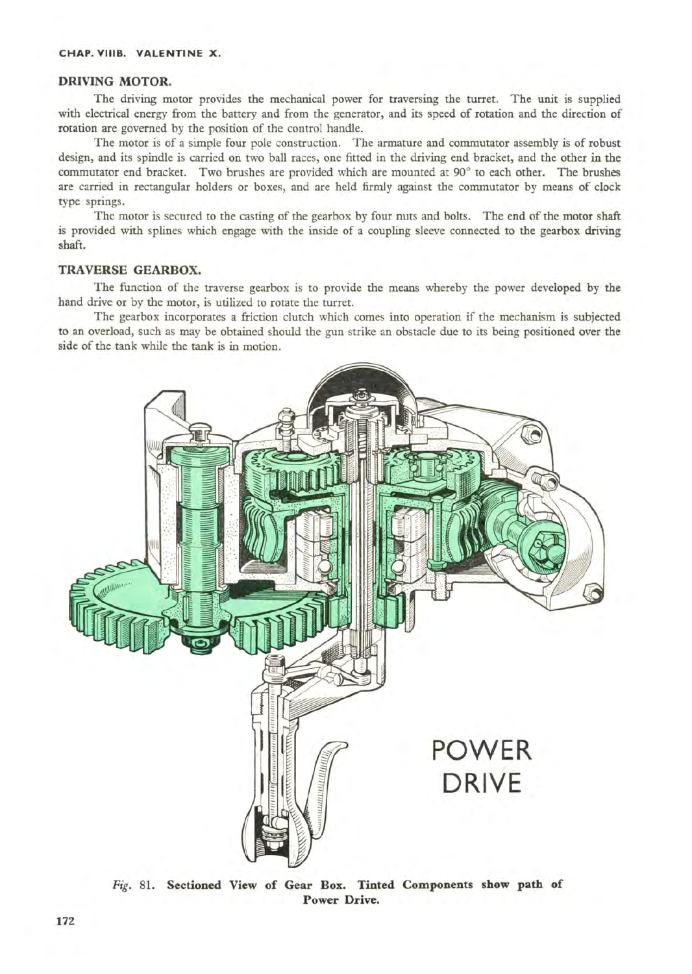# DRIVING MOTOR.

The driving motor provides the mechanical power for traversing the turret. The unit is supplied with electrical energy from the battery and from the generator, and its speed of rotation and the direction of rotation are governed by the position of the control handle.

The motor is of a simple four pole construction. The armature and commutator assembly is of robust design, and its spindle is carried on two ball races, one fitted in the driving end bracket, and the other in the commutator end bracket. Two brushes are provided which are mounted at 90° to each other. The brushes are carried in rectangular holders or boxes, and are held firmly against the commutator by means of clock type springs.

The motor is secured to the casting of the gearbox by four nuts and bolts. The end of the motor shaft is provided with splines which engage with the inside of a coupling sleeve connected to the gearbox driving shaft.

## TRAVERSE GEARBOX.

The function of the traverse gearbox is to provide the means whereby the power developed by the hand drive or by the motor, is utilized to rotate the turret.

The gearbox incorporates a friction clutch which comes into operation if the mechanism is subjected to an overload, such as may be obtained should the gun strike an obstacle due to its being positioned over the side of the tank while the tank is in motion.



Fig. 81. Sectioned View of Gear Box. Tinted Components show path of Power Drive.